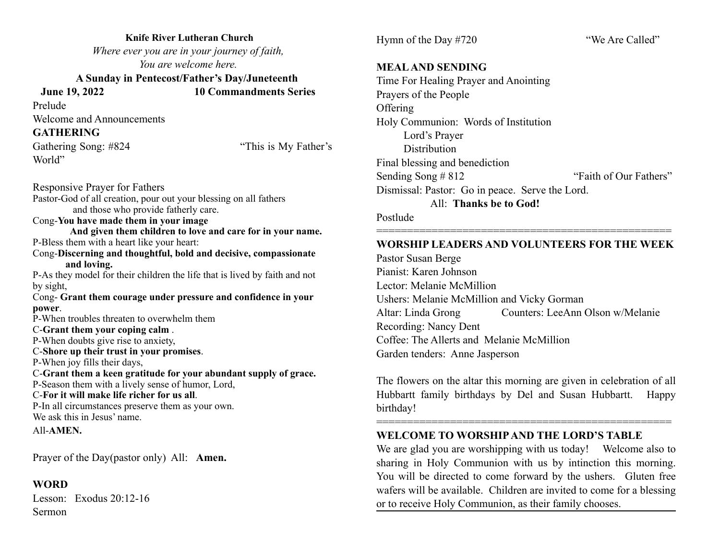**Knife River Lutheran Church**  *Where ever you are in your journey of faith, You are welcome here.* 

 **A Sunday in Pentecost/Father's Day/Juneteenth** 

 **June 19, 2022 10 Commandments Series** 

Prelude

Welcome and Announcements

### **GATHERING**

Gathering Song: #824 "This is My Father's World"

Responsive Prayer for Fathers Pastor-God of all creation, pour out your blessing on all fathers and those who provide fatherly care. Cong-**You have made them in your image And given them children to love and care for in your name.**  P-Bless them with a heart like your heart: Cong-**Discerning and thoughtful, bold and decisive, compassionate and loving.**  P-As they model for their children the life that is lived by faith and not by sight, Cong- **Grant them courage under pressure and confidence in your power**. P-When troubles threaten to overwhelm them C-**Grant them your coping calm** . P-When doubts give rise to anxiety, C-**Shore up their trust in your promises**. P-When joy fills their days, C-**Grant them a keen gratitude for your abundant supply of grace.** P-Season them with a lively sense of humor, Lord, C-**For it will make life richer for us all**. P-In all circumstances preserve them as your own. We ask this in Jesus' name. All-**AMEN.**

Prayer of the Day(pastor only) All: **Amen.**

#### **WORD**

Lesson: Exodus 20:12-16 Sermon

Hymn of the Day #720 "We Are Called"

#### **MEAL AND SENDING**

Time For Healing Prayer and Anointing Prayers of the People **Offering** Holy Communion: Words of Institution Lord's Prayer **Distribution** Final blessing and benediction Sending Song # 812 "Faith of Our Fathers" Dismissal: Pastor: Go in peace. Serve the Lord. All: **Thanks be to God!**

Postlude

### ================================================ **WORSHIP LEADERS AND VOLUNTEERS FOR THE WEEK**

Pastor Susan Berge Pianist: Karen Johnson Lector: Melanie McMillion Ushers: Melanie McMillion and Vicky Gorman Altar: Linda Grong Counters: LeeAnn Olson w/Melanie Recording: Nancy Dent Coffee: The Allerts and Melanie McMillion Garden tenders: Anne Jasperson

The flowers on the altar this morning are given in celebration of all Hubbartt family birthdays by Del and Susan Hubbartt. Happy birthday!

================================================

### **WELCOME TO WORSHIP AND THE LORD'S TABLE**

We are glad you are worshipping with us today! Welcome also to sharing in Holy Communion with us by intinction this morning. You will be directed to come forward by the ushers. Gluten free wafers will be available. Children are invited to come for a blessing or to receive Holy Communion, as their family chooses.